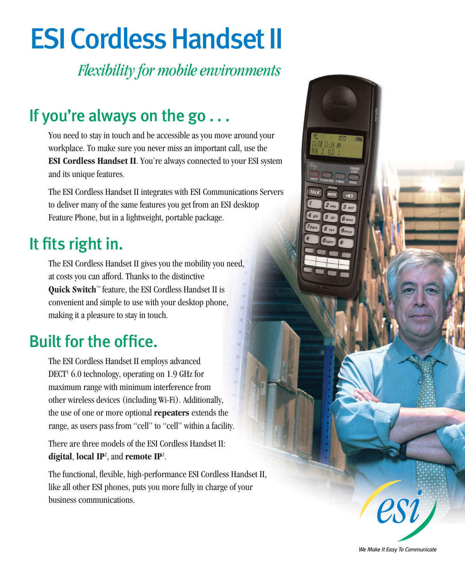# ESI Cordless Handset II

*Flexibility for mobile environments*

## If you're always on the go . . .

You need to stay in touch and be accessible as you move around your workplace. To make sure you never miss an important call, use the **ESI Cordless Handset II**. You're always connected to your ESI system and its unique features.

The ESI Cordless Handset II integrates with ESI Communications Servers to deliver many of the same features you get from an ESI desktop Feature Phone, but in a lightweight, portable package.

## It fits right in.

The ESI Cordless Handset II gives you the mobility you need, at costs you can afford. Thanks to the distinctive **Quick Switch**™ feature, the ESI Cordless Handset II is convenient and simple to use with your desktop phone, making it a pleasure to stay in touch.

## Built for the office.

The ESI Cordless Handset II employs advanced DECT<sup>1</sup> 6.0 technology, operating on 1.9 GHz for maximum range with minimum interference from other wireless devices (including Wi-Fi). Additionally, the use of one or more optional **repeaters** extends the range, as users pass from "cell" to "cell" within a facility.

There are three models of the ESI Cordless Handset II: **digital**, **local IP**<sup>2</sup> , and **remote IP**<sup>2</sup> .

The functional, flexible, high-performance ESI Cordless Handset II, like all other ESI phones, puts you more fully in charge of your business communications.



We Make It Easy To Communicate